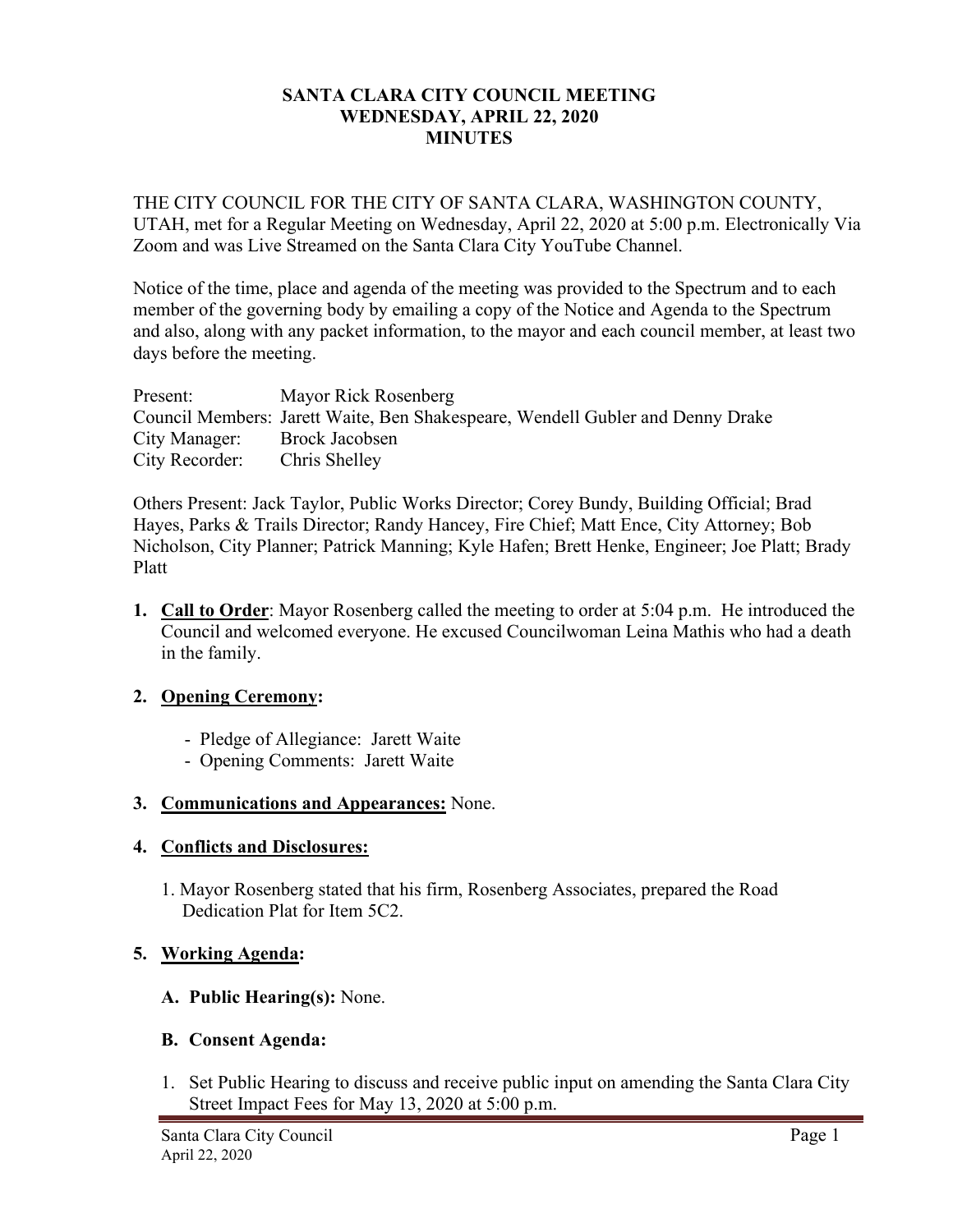### **SANTA CLARA CITY COUNCIL MEETING WEDNESDAY, APRIL 22, 2020 MINUTES**

THE CITY COUNCIL FOR THE CITY OF SANTA CLARA, WASHINGTON COUNTY, UTAH, met for a Regular Meeting on Wednesday, April 22, 2020 at 5:00 p.m. Electronically Via Zoom and was Live Streamed on the Santa Clara City YouTube Channel.

Notice of the time, place and agenda of the meeting was provided to the Spectrum and to each member of the governing body by emailing a copy of the Notice and Agenda to the Spectrum and also, along with any packet information, to the mayor and each council member, at least two days before the meeting.

| Present:       | Mayor Rick Rosenberg                                                           |
|----------------|--------------------------------------------------------------------------------|
|                | Council Members: Jarett Waite, Ben Shakespeare, Wendell Gubler and Denny Drake |
| City Manager:  | Brock Jacobsen                                                                 |
| City Recorder: | Chris Shelley                                                                  |

Others Present: Jack Taylor, Public Works Director; Corey Bundy, Building Official; Brad Hayes, Parks & Trails Director; Randy Hancey, Fire Chief; Matt Ence, City Attorney; Bob Nicholson, City Planner; Patrick Manning; Kyle Hafen; Brett Henke, Engineer; Joe Platt; Brady Platt

**1. Call to Order**: Mayor Rosenberg called the meeting to order at 5:04 p.m. He introduced the Council and welcomed everyone. He excused Councilwoman Leina Mathis who had a death in the family.

# **2. Opening Ceremony:**

- Pledge of Allegiance: Jarett Waite
- Opening Comments: Jarett Waite

# **3. Communications and Appearances:** None.

### **4. Conflicts and Disclosures:**

1. Mayor Rosenberg stated that his firm, Rosenberg Associates, prepared the Road Dedication Plat for Item 5C2.

# **5. Working Agenda:**

**A. Public Hearing(s):** None.

### **B. Consent Agenda:**

1. Set Public Hearing to discuss and receive public input on amending the Santa Clara City Street Impact Fees for May 13, 2020 at 5:00 p.m.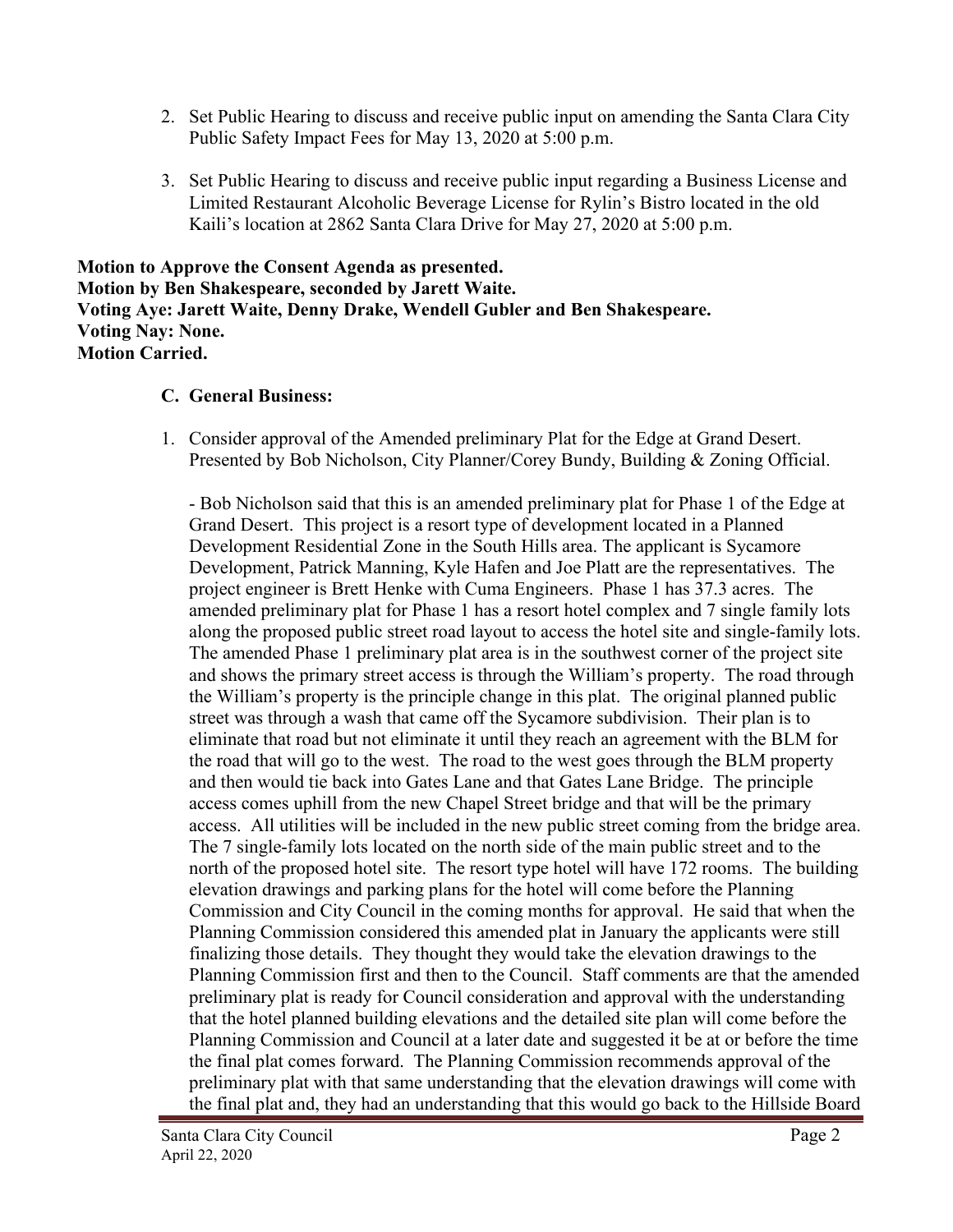- 2. Set Public Hearing to discuss and receive public input on amending the Santa Clara City Public Safety Impact Fees for May 13, 2020 at 5:00 p.m.
- 3. Set Public Hearing to discuss and receive public input regarding a Business License and Limited Restaurant Alcoholic Beverage License for Rylin's Bistro located in the old Kaili's location at 2862 Santa Clara Drive for May 27, 2020 at 5:00 p.m.

**Motion to Approve the Consent Agenda as presented. Motion by Ben Shakespeare, seconded by Jarett Waite. Voting Aye: Jarett Waite, Denny Drake, Wendell Gubler and Ben Shakespeare. Voting Nay: None. Motion Carried.**

# **C. General Business:**

1. Consider approval of the Amended preliminary Plat for the Edge at Grand Desert. Presented by Bob Nicholson, City Planner/Corey Bundy, Building & Zoning Official.

- Bob Nicholson said that this is an amended preliminary plat for Phase 1 of the Edge at Grand Desert. This project is a resort type of development located in a Planned Development Residential Zone in the South Hills area. The applicant is Sycamore Development, Patrick Manning, Kyle Hafen and Joe Platt are the representatives. The project engineer is Brett Henke with Cuma Engineers. Phase 1 has 37.3 acres. The amended preliminary plat for Phase 1 has a resort hotel complex and 7 single family lots along the proposed public street road layout to access the hotel site and single-family lots. The amended Phase 1 preliminary plat area is in the southwest corner of the project site and shows the primary street access is through the William's property. The road through the William's property is the principle change in this plat. The original planned public street was through a wash that came off the Sycamore subdivision. Their plan is to eliminate that road but not eliminate it until they reach an agreement with the BLM for the road that will go to the west. The road to the west goes through the BLM property and then would tie back into Gates Lane and that Gates Lane Bridge. The principle access comes uphill from the new Chapel Street bridge and that will be the primary access. All utilities will be included in the new public street coming from the bridge area. The 7 single-family lots located on the north side of the main public street and to the north of the proposed hotel site. The resort type hotel will have 172 rooms. The building elevation drawings and parking plans for the hotel will come before the Planning Commission and City Council in the coming months for approval. He said that when the Planning Commission considered this amended plat in January the applicants were still finalizing those details. They thought they would take the elevation drawings to the Planning Commission first and then to the Council. Staff comments are that the amended preliminary plat is ready for Council consideration and approval with the understanding that the hotel planned building elevations and the detailed site plan will come before the Planning Commission and Council at a later date and suggested it be at or before the time the final plat comes forward. The Planning Commission recommends approval of the preliminary plat with that same understanding that the elevation drawings will come with the final plat and, they had an understanding that this would go back to the Hillside Board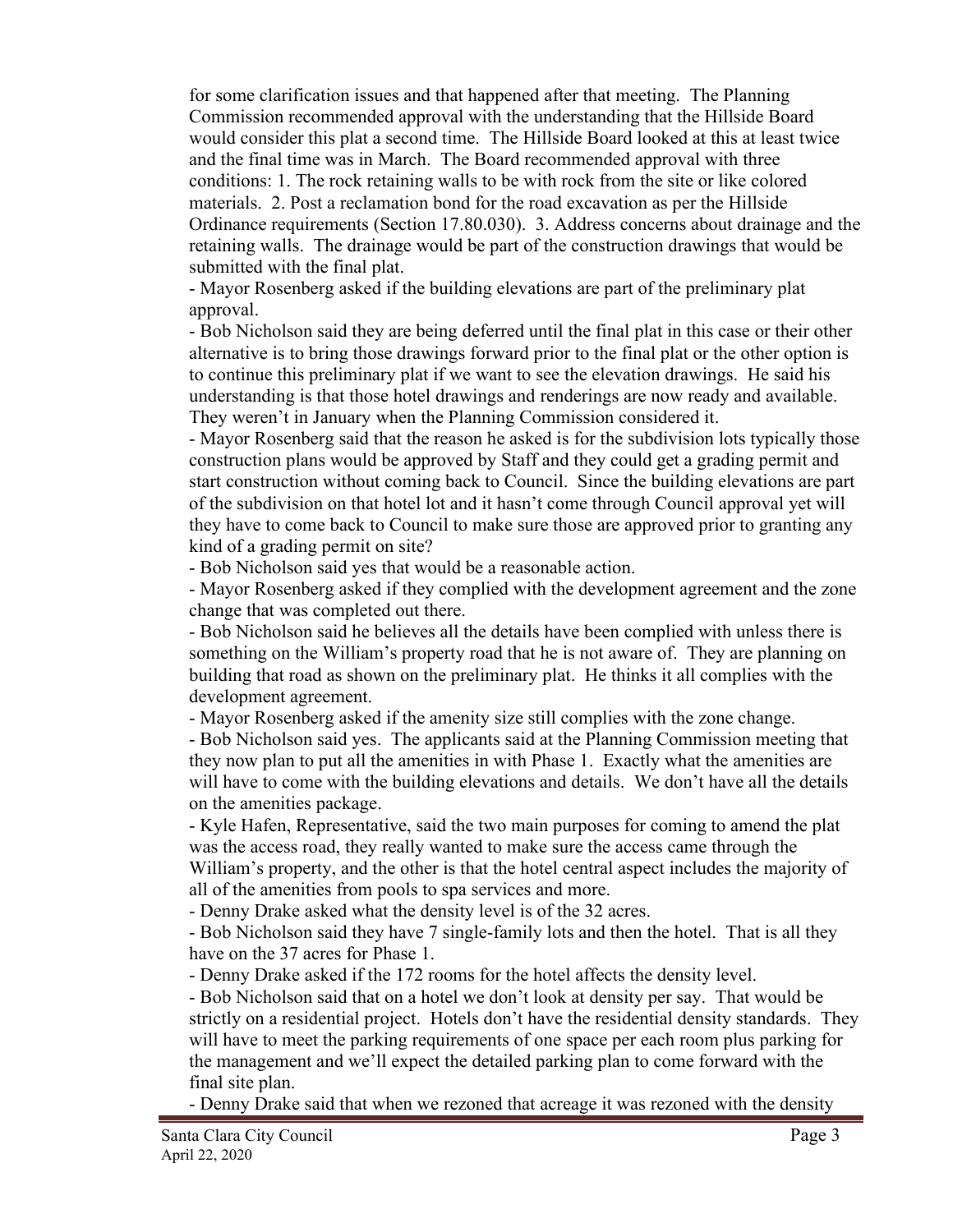for some clarification issues and that happened after that meeting. The Planning Commission recommended approval with the understanding that the Hillside Board would consider this plat a second time. The Hillside Board looked at this at least twice and the final time was in March. The Board recommended approval with three conditions: 1. The rock retaining walls to be with rock from the site or like colored materials. 2. Post a reclamation bond for the road excavation as per the Hillside Ordinance requirements (Section 17.80.030). 3. Address concerns about drainage and the retaining walls. The drainage would be part of the construction drawings that would be submitted with the final plat.

- Mayor Rosenberg asked if the building elevations are part of the preliminary plat approval.

- Bob Nicholson said they are being deferred until the final plat in this case or their other alternative is to bring those drawings forward prior to the final plat or the other option is to continue this preliminary plat if we want to see the elevation drawings. He said his understanding is that those hotel drawings and renderings are now ready and available. They weren't in January when the Planning Commission considered it.

- Mayor Rosenberg said that the reason he asked is for the subdivision lots typically those construction plans would be approved by Staff and they could get a grading permit and start construction without coming back to Council. Since the building elevations are part of the subdivision on that hotel lot and it hasn't come through Council approval yet will they have to come back to Council to make sure those are approved prior to granting any kind of a grading permit on site?

- Bob Nicholson said yes that would be a reasonable action.

- Mayor Rosenberg asked if they complied with the development agreement and the zone change that was completed out there.

- Bob Nicholson said he believes all the details have been complied with unless there is something on the William's property road that he is not aware of. They are planning on building that road as shown on the preliminary plat. He thinks it all complies with the development agreement.

- Mayor Rosenberg asked if the amenity size still complies with the zone change.

- Bob Nicholson said yes. The applicants said at the Planning Commission meeting that they now plan to put all the amenities in with Phase 1. Exactly what the amenities are will have to come with the building elevations and details. We don't have all the details on the amenities package.

- Kyle Hafen, Representative, said the two main purposes for coming to amend the plat was the access road, they really wanted to make sure the access came through the William's property, and the other is that the hotel central aspect includes the majority of all of the amenities from pools to spa services and more.

- Denny Drake asked what the density level is of the 32 acres.

- Bob Nicholson said they have 7 single-family lots and then the hotel. That is all they have on the 37 acres for Phase 1.

- Denny Drake asked if the 172 rooms for the hotel affects the density level.

- Bob Nicholson said that on a hotel we don't look at density per say. That would be strictly on a residential project. Hotels don't have the residential density standards. They will have to meet the parking requirements of one space per each room plus parking for the management and we'll expect the detailed parking plan to come forward with the final site plan.

- Denny Drake said that when we rezoned that acreage it was rezoned with the density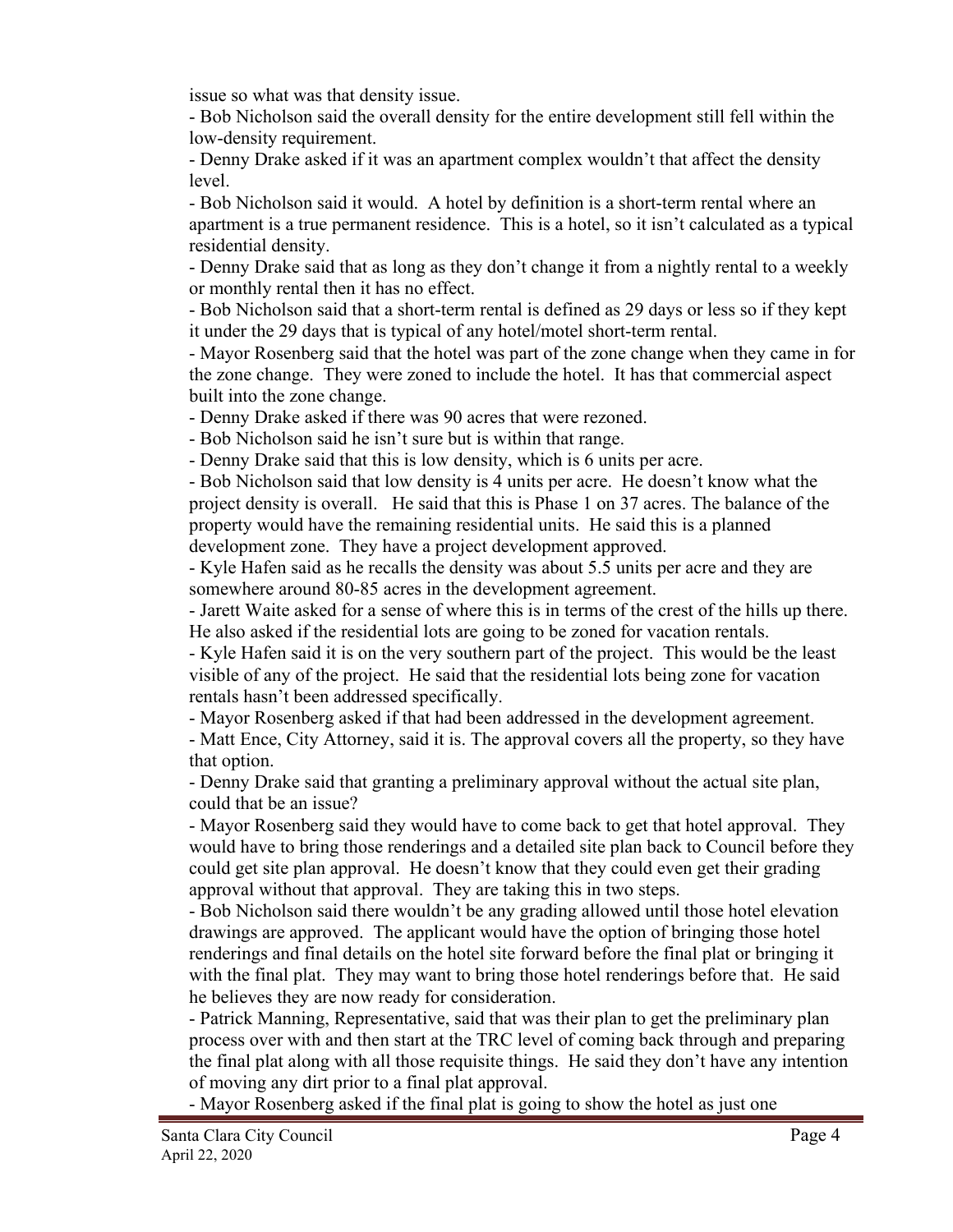issue so what was that density issue.

- Bob Nicholson said the overall density for the entire development still fell within the low-density requirement.

- Denny Drake asked if it was an apartment complex wouldn't that affect the density level.

- Bob Nicholson said it would. A hotel by definition is a short-term rental where an apartment is a true permanent residence. This is a hotel, so it isn't calculated as a typical residential density.

- Denny Drake said that as long as they don't change it from a nightly rental to a weekly or monthly rental then it has no effect.

- Bob Nicholson said that a short-term rental is defined as 29 days or less so if they kept it under the 29 days that is typical of any hotel/motel short-term rental.

- Mayor Rosenberg said that the hotel was part of the zone change when they came in for the zone change. They were zoned to include the hotel. It has that commercial aspect built into the zone change.

- Denny Drake asked if there was 90 acres that were rezoned.

- Bob Nicholson said he isn't sure but is within that range.

- Denny Drake said that this is low density, which is 6 units per acre.

- Bob Nicholson said that low density is 4 units per acre. He doesn't know what the project density is overall. He said that this is Phase 1 on 37 acres. The balance of the property would have the remaining residential units. He said this is a planned development zone. They have a project development approved.

- Kyle Hafen said as he recalls the density was about 5.5 units per acre and they are somewhere around 80-85 acres in the development agreement.

- Jarett Waite asked for a sense of where this is in terms of the crest of the hills up there. He also asked if the residential lots are going to be zoned for vacation rentals.

- Kyle Hafen said it is on the very southern part of the project. This would be the least visible of any of the project. He said that the residential lots being zone for vacation rentals hasn't been addressed specifically.

- Mayor Rosenberg asked if that had been addressed in the development agreement.

- Matt Ence, City Attorney, said it is. The approval covers all the property, so they have that option.

- Denny Drake said that granting a preliminary approval without the actual site plan, could that be an issue?

- Mayor Rosenberg said they would have to come back to get that hotel approval. They would have to bring those renderings and a detailed site plan back to Council before they could get site plan approval. He doesn't know that they could even get their grading approval without that approval. They are taking this in two steps.

- Bob Nicholson said there wouldn't be any grading allowed until those hotel elevation drawings are approved. The applicant would have the option of bringing those hotel renderings and final details on the hotel site forward before the final plat or bringing it with the final plat. They may want to bring those hotel renderings before that. He said he believes they are now ready for consideration.

- Patrick Manning, Representative, said that was their plan to get the preliminary plan process over with and then start at the TRC level of coming back through and preparing the final plat along with all those requisite things. He said they don't have any intention of moving any dirt prior to a final plat approval.

- Mayor Rosenberg asked if the final plat is going to show the hotel as just one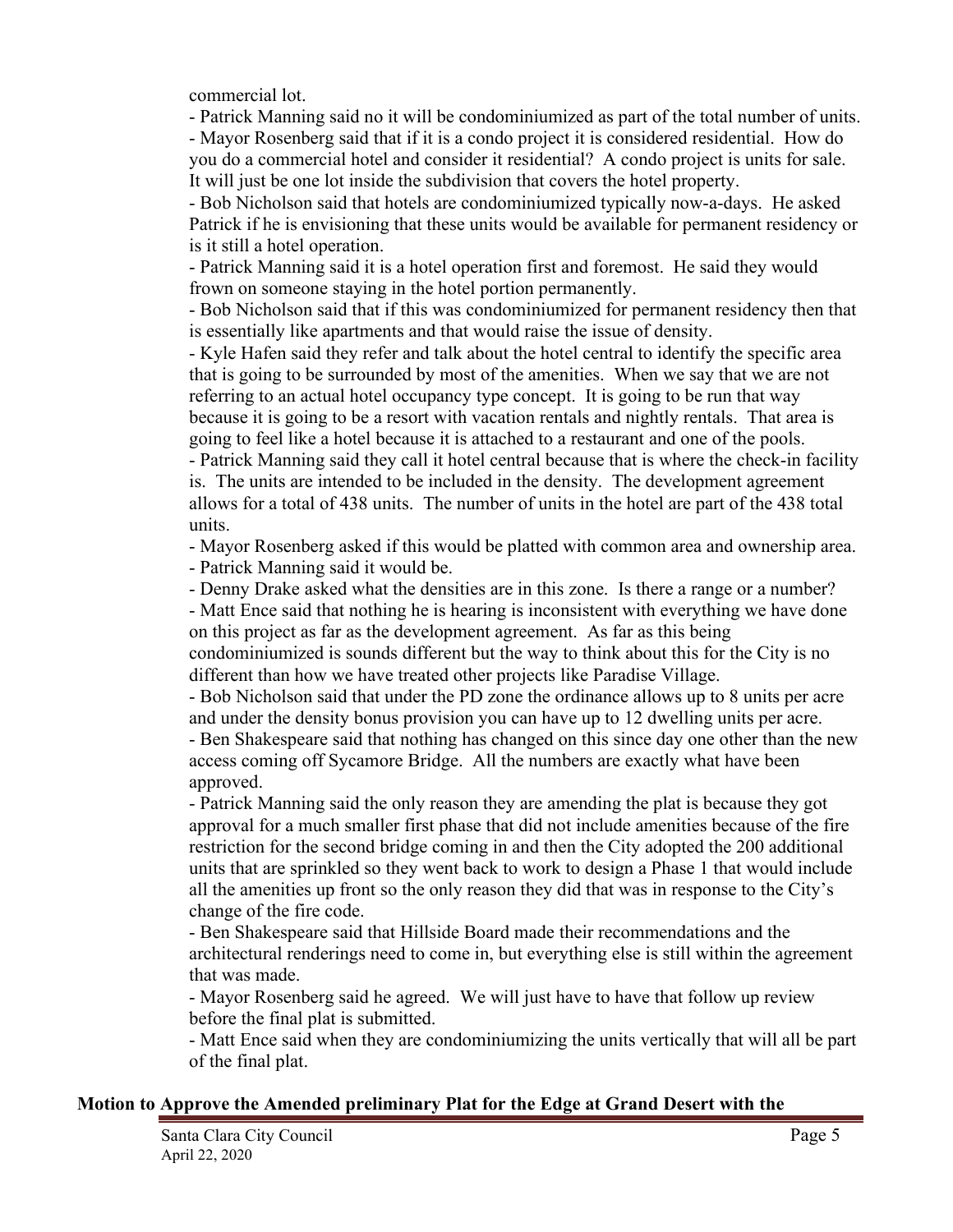commercial lot.

- Patrick Manning said no it will be condominiumized as part of the total number of units.

- Mayor Rosenberg said that if it is a condo project it is considered residential. How do you do a commercial hotel and consider it residential? A condo project is units for sale. It will just be one lot inside the subdivision that covers the hotel property.

- Bob Nicholson said that hotels are condominiumized typically now-a-days. He asked Patrick if he is envisioning that these units would be available for permanent residency or is it still a hotel operation.

- Patrick Manning said it is a hotel operation first and foremost. He said they would frown on someone staying in the hotel portion permanently.

- Bob Nicholson said that if this was condominiumized for permanent residency then that is essentially like apartments and that would raise the issue of density.

- Kyle Hafen said they refer and talk about the hotel central to identify the specific area that is going to be surrounded by most of the amenities. When we say that we are not referring to an actual hotel occupancy type concept. It is going to be run that way because it is going to be a resort with vacation rentals and nightly rentals. That area is going to feel like a hotel because it is attached to a restaurant and one of the pools.

- Patrick Manning said they call it hotel central because that is where the check-in facility is. The units are intended to be included in the density. The development agreement allows for a total of 438 units. The number of units in the hotel are part of the 438 total units.

- Mayor Rosenberg asked if this would be platted with common area and ownership area.

- Patrick Manning said it would be.

- Denny Drake asked what the densities are in this zone. Is there a range or a number?

- Matt Ence said that nothing he is hearing is inconsistent with everything we have done on this project as far as the development agreement. As far as this being condominiumized is sounds different but the way to think about this for the City is no

different than how we have treated other projects like Paradise Village. - Bob Nicholson said that under the PD zone the ordinance allows up to 8 units per acre and under the density bonus provision you can have up to 12 dwelling units per acre.

- Ben Shakespeare said that nothing has changed on this since day one other than the new access coming off Sycamore Bridge. All the numbers are exactly what have been approved.

- Patrick Manning said the only reason they are amending the plat is because they got approval for a much smaller first phase that did not include amenities because of the fire restriction for the second bridge coming in and then the City adopted the 200 additional units that are sprinkled so they went back to work to design a Phase 1 that would include all the amenities up front so the only reason they did that was in response to the City's change of the fire code.

- Ben Shakespeare said that Hillside Board made their recommendations and the architectural renderings need to come in, but everything else is still within the agreement that was made.

- Mayor Rosenberg said he agreed. We will just have to have that follow up review before the final plat is submitted.

- Matt Ence said when they are condominiumizing the units vertically that will all be part of the final plat.

#### **Motion to Approve the Amended preliminary Plat for the Edge at Grand Desert with the**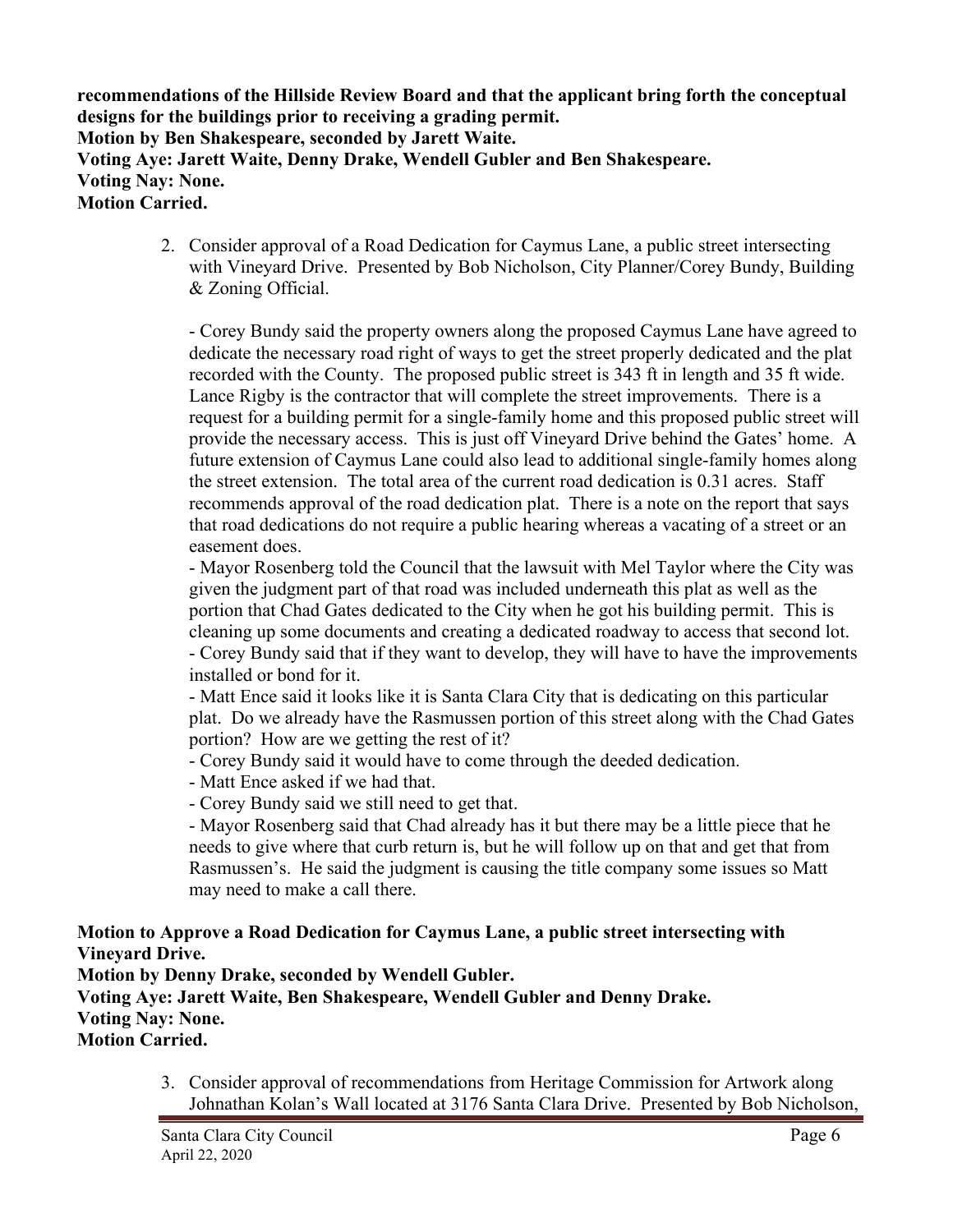**recommendations of the Hillside Review Board and that the applicant bring forth the conceptual designs for the buildings prior to receiving a grading permit. Motion by Ben Shakespeare, seconded by Jarett Waite. Voting Aye: Jarett Waite, Denny Drake, Wendell Gubler and Ben Shakespeare. Voting Nay: None. Motion Carried.**

> 2. Consider approval of a Road Dedication for Caymus Lane, a public street intersecting with Vineyard Drive. Presented by Bob Nicholson, City Planner/Corey Bundy, Building & Zoning Official.

- Corey Bundy said the property owners along the proposed Caymus Lane have agreed to dedicate the necessary road right of ways to get the street properly dedicated and the plat recorded with the County. The proposed public street is 343 ft in length and 35 ft wide. Lance Rigby is the contractor that will complete the street improvements. There is a request for a building permit for a single-family home and this proposed public street will provide the necessary access. This is just off Vineyard Drive behind the Gates' home. A future extension of Caymus Lane could also lead to additional single-family homes along the street extension. The total area of the current road dedication is 0.31 acres. Staff recommends approval of the road dedication plat. There is a note on the report that says that road dedications do not require a public hearing whereas a vacating of a street or an easement does.

- Mayor Rosenberg told the Council that the lawsuit with Mel Taylor where the City was given the judgment part of that road was included underneath this plat as well as the portion that Chad Gates dedicated to the City when he got his building permit. This is cleaning up some documents and creating a dedicated roadway to access that second lot. - Corey Bundy said that if they want to develop, they will have to have the improvements installed or bond for it.

- Matt Ence said it looks like it is Santa Clara City that is dedicating on this particular plat. Do we already have the Rasmussen portion of this street along with the Chad Gates portion? How are we getting the rest of it?

- Corey Bundy said it would have to come through the deeded dedication.

- Matt Ence asked if we had that.

- Corey Bundy said we still need to get that.

- Mayor Rosenberg said that Chad already has it but there may be a little piece that he needs to give where that curb return is, but he will follow up on that and get that from Rasmussen's. He said the judgment is causing the title company some issues so Matt may need to make a call there.

**Motion to Approve a Road Dedication for Caymus Lane, a public street intersecting with Vineyard Drive.**

**Motion by Denny Drake, seconded by Wendell Gubler. Voting Aye: Jarett Waite, Ben Shakespeare, Wendell Gubler and Denny Drake. Voting Nay: None. Motion Carried.**

> 3. Consider approval of recommendations from Heritage Commission for Artwork along Johnathan Kolan's Wall located at 3176 Santa Clara Drive. Presented by Bob Nicholson,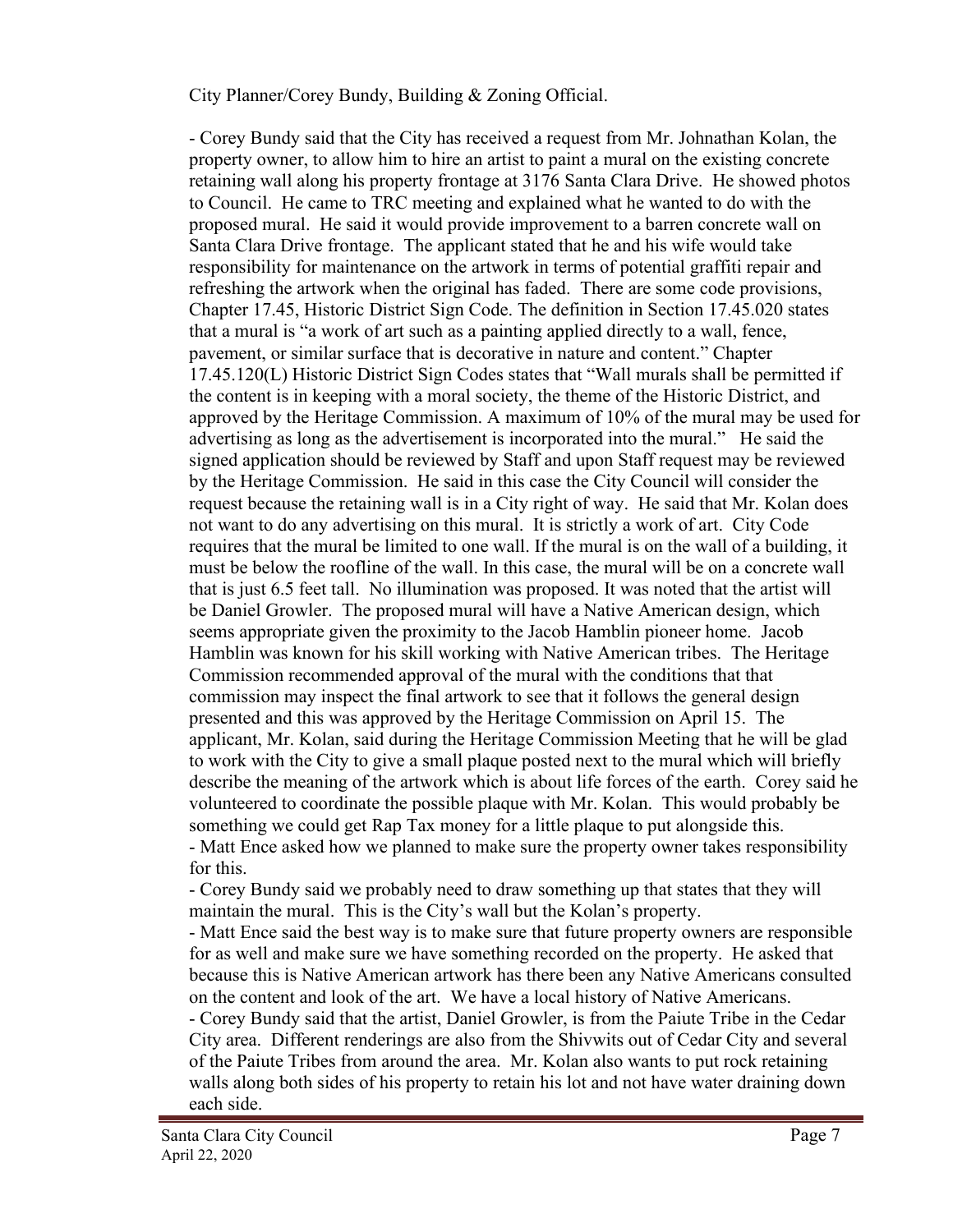City Planner/Corey Bundy, Building & Zoning Official.

- Corey Bundy said that the City has received a request from Mr. Johnathan Kolan, the property owner, to allow him to hire an artist to paint a mural on the existing concrete retaining wall along his property frontage at 3176 Santa Clara Drive. He showed photos to Council. He came to TRC meeting and explained what he wanted to do with the proposed mural. He said it would provide improvement to a barren concrete wall on Santa Clara Drive frontage. The applicant stated that he and his wife would take responsibility for maintenance on the artwork in terms of potential graffiti repair and refreshing the artwork when the original has faded. There are some code provisions, Chapter 17.45, Historic District Sign Code. The definition in Section 17.45.020 states that a mural is "a work of art such as a painting applied directly to a wall, fence, pavement, or similar surface that is decorative in nature and content." Chapter 17.45.120(L) Historic District Sign Codes states that "Wall murals shall be permitted if the content is in keeping with a moral society, the theme of the Historic District, and approved by the Heritage Commission. A maximum of 10% of the mural may be used for advertising as long as the advertisement is incorporated into the mural." He said the signed application should be reviewed by Staff and upon Staff request may be reviewed by the Heritage Commission. He said in this case the City Council will consider the request because the retaining wall is in a City right of way. He said that Mr. Kolan does not want to do any advertising on this mural. It is strictly a work of art. City Code requires that the mural be limited to one wall. If the mural is on the wall of a building, it must be below the roofline of the wall. In this case, the mural will be on a concrete wall that is just 6.5 feet tall. No illumination was proposed. It was noted that the artist will be Daniel Growler. The proposed mural will have a Native American design, which seems appropriate given the proximity to the Jacob Hamblin pioneer home. Jacob Hamblin was known for his skill working with Native American tribes. The Heritage Commission recommended approval of the mural with the conditions that that commission may inspect the final artwork to see that it follows the general design presented and this was approved by the Heritage Commission on April 15. The applicant, Mr. Kolan, said during the Heritage Commission Meeting that he will be glad to work with the City to give a small plaque posted next to the mural which will briefly describe the meaning of the artwork which is about life forces of the earth. Corey said he volunteered to coordinate the possible plaque with Mr. Kolan. This would probably be something we could get Rap Tax money for a little plaque to put alongside this. - Matt Ence asked how we planned to make sure the property owner takes responsibility for this.

- Corey Bundy said we probably need to draw something up that states that they will maintain the mural. This is the City's wall but the Kolan's property.

- Matt Ence said the best way is to make sure that future property owners are responsible for as well and make sure we have something recorded on the property. He asked that because this is Native American artwork has there been any Native Americans consulted on the content and look of the art. We have a local history of Native Americans. - Corey Bundy said that the artist, Daniel Growler, is from the Paiute Tribe in the Cedar City area. Different renderings are also from the Shivwits out of Cedar City and several of the Paiute Tribes from around the area. Mr. Kolan also wants to put rock retaining walls along both sides of his property to retain his lot and not have water draining down each side.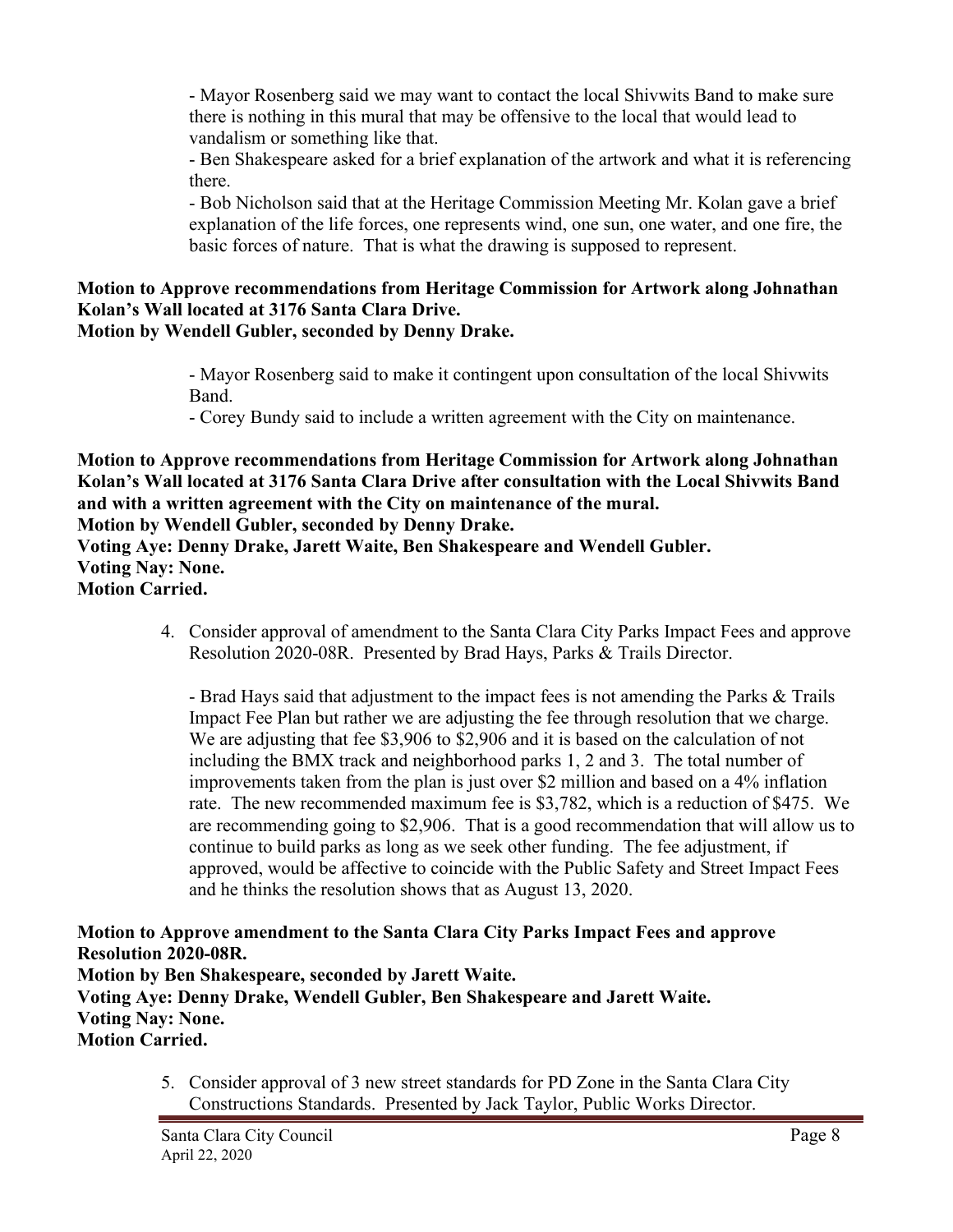- Mayor Rosenberg said we may want to contact the local Shivwits Band to make sure there is nothing in this mural that may be offensive to the local that would lead to vandalism or something like that.

- Ben Shakespeare asked for a brief explanation of the artwork and what it is referencing there.

- Bob Nicholson said that at the Heritage Commission Meeting Mr. Kolan gave a brief explanation of the life forces, one represents wind, one sun, one water, and one fire, the basic forces of nature. That is what the drawing is supposed to represent.

#### **Motion to Approve recommendations from Heritage Commission for Artwork along Johnathan Kolan's Wall located at 3176 Santa Clara Drive. Motion by Wendell Gubler, seconded by Denny Drake.**

- Mayor Rosenberg said to make it contingent upon consultation of the local Shivwits Band.

- Corey Bundy said to include a written agreement with the City on maintenance.

**Motion to Approve recommendations from Heritage Commission for Artwork along Johnathan Kolan's Wall located at 3176 Santa Clara Drive after consultation with the Local Shivwits Band and with a written agreement with the City on maintenance of the mural.** 

**Motion by Wendell Gubler, seconded by Denny Drake.**

**Voting Aye: Denny Drake, Jarett Waite, Ben Shakespeare and Wendell Gubler. Voting Nay: None. Motion Carried.**

> 4. Consider approval of amendment to the Santa Clara City Parks Impact Fees and approve Resolution 2020-08R. Presented by Brad Hays, Parks & Trails Director.

- Brad Hays said that adjustment to the impact fees is not amending the Parks & Trails Impact Fee Plan but rather we are adjusting the fee through resolution that we charge. We are adjusting that fee \$3,906 to \$2,906 and it is based on the calculation of not including the BMX track and neighborhood parks 1, 2 and 3. The total number of improvements taken from the plan is just over \$2 million and based on a 4% inflation rate. The new recommended maximum fee is \$3,782, which is a reduction of \$475. We are recommending going to \$2,906. That is a good recommendation that will allow us to continue to build parks as long as we seek other funding. The fee adjustment, if approved, would be affective to coincide with the Public Safety and Street Impact Fees and he thinks the resolution shows that as August 13, 2020.

**Motion to Approve amendment to the Santa Clara City Parks Impact Fees and approve Resolution 2020-08R. Motion by Ben Shakespeare, seconded by Jarett Waite. Voting Aye: Denny Drake, Wendell Gubler, Ben Shakespeare and Jarett Waite. Voting Nay: None. Motion Carried.**

> 5. Consider approval of 3 new street standards for PD Zone in the Santa Clara City Constructions Standards. Presented by Jack Taylor, Public Works Director.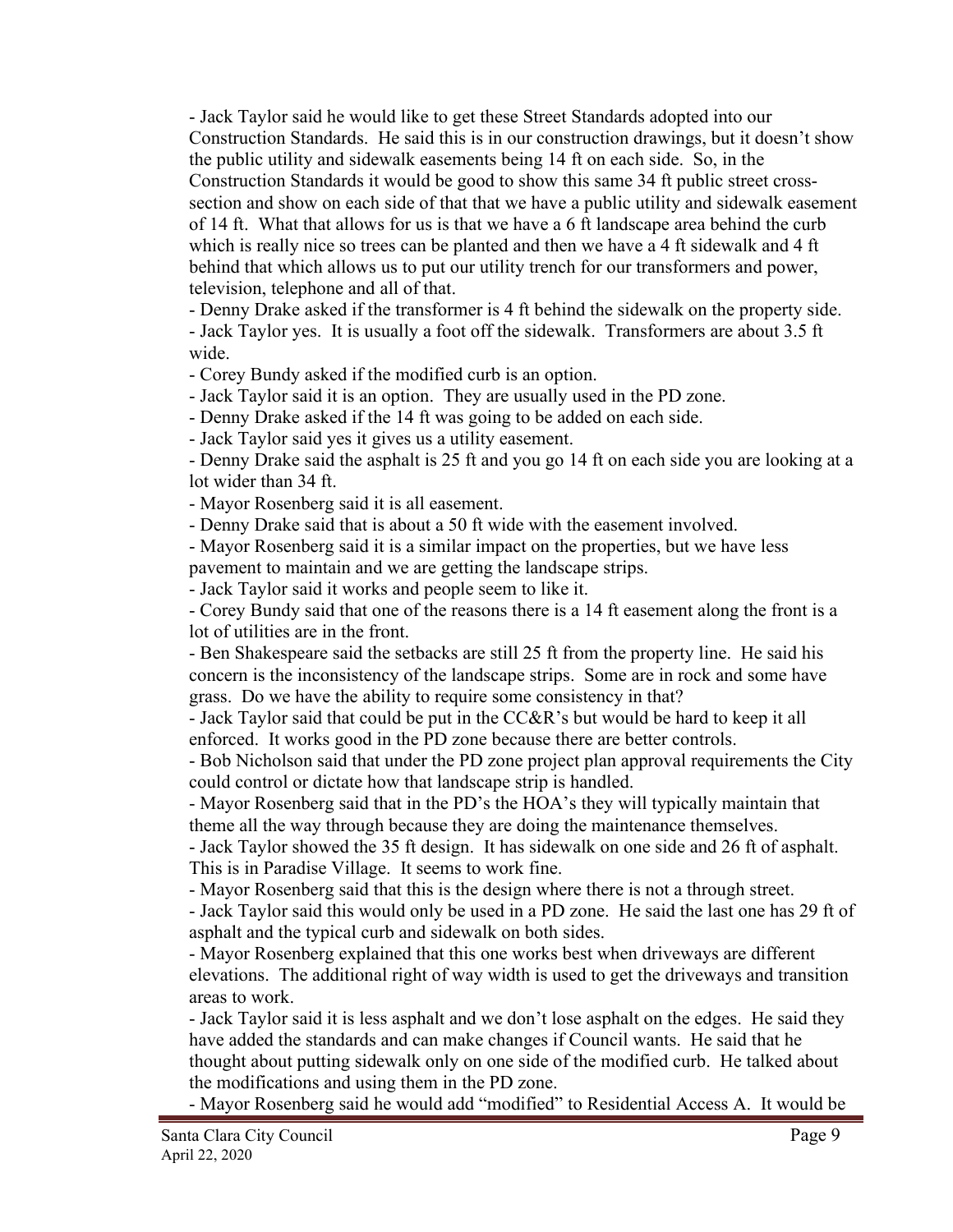- Jack Taylor said he would like to get these Street Standards adopted into our Construction Standards. He said this is in our construction drawings, but it doesn't show the public utility and sidewalk easements being 14 ft on each side. So, in the Construction Standards it would be good to show this same 34 ft public street crosssection and show on each side of that that we have a public utility and sidewalk easement of 14 ft. What that allows for us is that we have a 6 ft landscape area behind the curb which is really nice so trees can be planted and then we have a 4 ft sidewalk and 4 ft behind that which allows us to put our utility trench for our transformers and power, television, telephone and all of that.

- Denny Drake asked if the transformer is 4 ft behind the sidewalk on the property side. - Jack Taylor yes. It is usually a foot off the sidewalk. Transformers are about 3.5 ft wide.

- Corey Bundy asked if the modified curb is an option.

- Jack Taylor said it is an option. They are usually used in the PD zone.

- Denny Drake asked if the 14 ft was going to be added on each side.

- Jack Taylor said yes it gives us a utility easement.

- Denny Drake said the asphalt is 25 ft and you go 14 ft on each side you are looking at a lot wider than 34 ft.

- Mayor Rosenberg said it is all easement.

- Denny Drake said that is about a 50 ft wide with the easement involved.

- Mayor Rosenberg said it is a similar impact on the properties, but we have less pavement to maintain and we are getting the landscape strips.

- Jack Taylor said it works and people seem to like it.

- Corey Bundy said that one of the reasons there is a 14 ft easement along the front is a lot of utilities are in the front.

- Ben Shakespeare said the setbacks are still 25 ft from the property line. He said his concern is the inconsistency of the landscape strips. Some are in rock and some have grass. Do we have the ability to require some consistency in that?

- Jack Taylor said that could be put in the CC&R's but would be hard to keep it all enforced. It works good in the PD zone because there are better controls.

- Bob Nicholson said that under the PD zone project plan approval requirements the City could control or dictate how that landscape strip is handled.

- Mayor Rosenberg said that in the PD's the HOA's they will typically maintain that theme all the way through because they are doing the maintenance themselves.

- Jack Taylor showed the 35 ft design. It has sidewalk on one side and 26 ft of asphalt. This is in Paradise Village. It seems to work fine.

- Mayor Rosenberg said that this is the design where there is not a through street.

- Jack Taylor said this would only be used in a PD zone. He said the last one has 29 ft of asphalt and the typical curb and sidewalk on both sides.

- Mayor Rosenberg explained that this one works best when driveways are different elevations. The additional right of way width is used to get the driveways and transition areas to work.

- Jack Taylor said it is less asphalt and we don't lose asphalt on the edges. He said they have added the standards and can make changes if Council wants. He said that he thought about putting sidewalk only on one side of the modified curb. He talked about the modifications and using them in the PD zone.

- Mayor Rosenberg said he would add "modified" to Residential Access A. It would be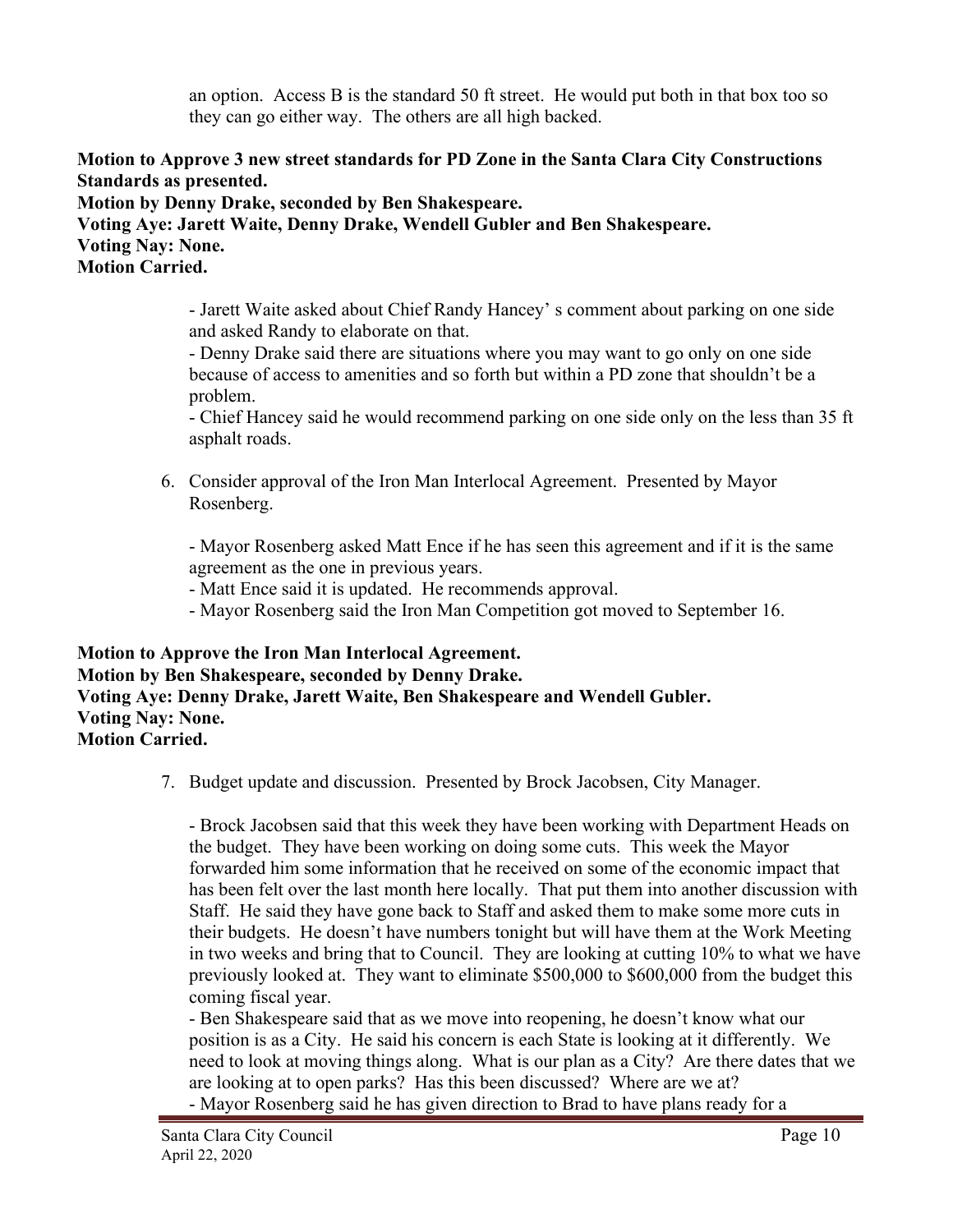an option. Access B is the standard 50 ft street. He would put both in that box too so they can go either way. The others are all high backed.

**Motion to Approve 3 new street standards for PD Zone in the Santa Clara City Constructions Standards as presented.**

**Motion by Denny Drake, seconded by Ben Shakespeare. Voting Aye: Jarett Waite, Denny Drake, Wendell Gubler and Ben Shakespeare. Voting Nay: None. Motion Carried.**

> - Jarett Waite asked about Chief Randy Hancey' s comment about parking on one side and asked Randy to elaborate on that.

- Denny Drake said there are situations where you may want to go only on one side because of access to amenities and so forth but within a PD zone that shouldn't be a problem.

- Chief Hancey said he would recommend parking on one side only on the less than 35 ft asphalt roads.

6. Consider approval of the Iron Man Interlocal Agreement. Presented by Mayor Rosenberg.

- Mayor Rosenberg asked Matt Ence if he has seen this agreement and if it is the same agreement as the one in previous years.

- Matt Ence said it is updated. He recommends approval.

- Mayor Rosenberg said the Iron Man Competition got moved to September 16.

**Motion to Approve the Iron Man Interlocal Agreement. Motion by Ben Shakespeare, seconded by Denny Drake. Voting Aye: Denny Drake, Jarett Waite, Ben Shakespeare and Wendell Gubler. Voting Nay: None. Motion Carried.**

7. Budget update and discussion. Presented by Brock Jacobsen, City Manager.

- Brock Jacobsen said that this week they have been working with Department Heads on the budget. They have been working on doing some cuts. This week the Mayor forwarded him some information that he received on some of the economic impact that has been felt over the last month here locally. That put them into another discussion with Staff. He said they have gone back to Staff and asked them to make some more cuts in their budgets. He doesn't have numbers tonight but will have them at the Work Meeting in two weeks and bring that to Council. They are looking at cutting 10% to what we have previously looked at. They want to eliminate \$500,000 to \$600,000 from the budget this coming fiscal year.

- Ben Shakespeare said that as we move into reopening, he doesn't know what our position is as a City. He said his concern is each State is looking at it differently. We need to look at moving things along. What is our plan as a City? Are there dates that we are looking at to open parks? Has this been discussed? Where are we at?

- Mayor Rosenberg said he has given direction to Brad to have plans ready for a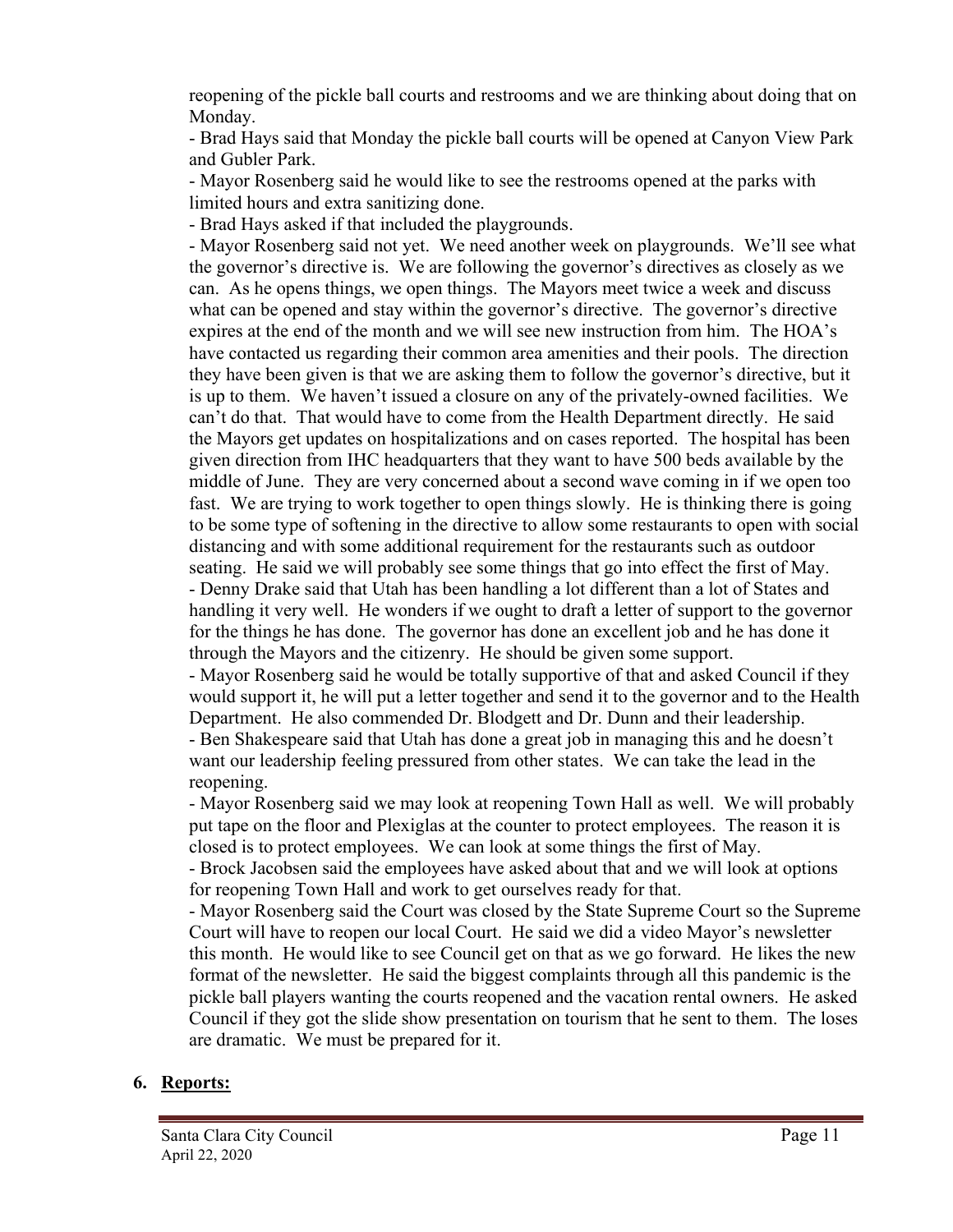reopening of the pickle ball courts and restrooms and we are thinking about doing that on Monday.

- Brad Hays said that Monday the pickle ball courts will be opened at Canyon View Park and Gubler Park.

- Mayor Rosenberg said he would like to see the restrooms opened at the parks with limited hours and extra sanitizing done.

- Brad Hays asked if that included the playgrounds.

- Mayor Rosenberg said not yet. We need another week on playgrounds. We'll see what the governor's directive is. We are following the governor's directives as closely as we can. As he opens things, we open things. The Mayors meet twice a week and discuss what can be opened and stay within the governor's directive. The governor's directive expires at the end of the month and we will see new instruction from him. The HOA's have contacted us regarding their common area amenities and their pools. The direction they have been given is that we are asking them to follow the governor's directive, but it is up to them. We haven't issued a closure on any of the privately-owned facilities. We can't do that. That would have to come from the Health Department directly. He said the Mayors get updates on hospitalizations and on cases reported. The hospital has been given direction from IHC headquarters that they want to have 500 beds available by the middle of June. They are very concerned about a second wave coming in if we open too fast. We are trying to work together to open things slowly. He is thinking there is going to be some type of softening in the directive to allow some restaurants to open with social distancing and with some additional requirement for the restaurants such as outdoor seating. He said we will probably see some things that go into effect the first of May. - Denny Drake said that Utah has been handling a lot different than a lot of States and handling it very well. He wonders if we ought to draft a letter of support to the governor for the things he has done. The governor has done an excellent job and he has done it through the Mayors and the citizenry. He should be given some support.

- Mayor Rosenberg said he would be totally supportive of that and asked Council if they would support it, he will put a letter together and send it to the governor and to the Health Department. He also commended Dr. Blodgett and Dr. Dunn and their leadership. - Ben Shakespeare said that Utah has done a great job in managing this and he doesn't want our leadership feeling pressured from other states. We can take the lead in the reopening.

- Mayor Rosenberg said we may look at reopening Town Hall as well. We will probably put tape on the floor and Plexiglas at the counter to protect employees. The reason it is closed is to protect employees. We can look at some things the first of May. - Brock Jacobsen said the employees have asked about that and we will look at options

for reopening Town Hall and work to get ourselves ready for that.

- Mayor Rosenberg said the Court was closed by the State Supreme Court so the Supreme Court will have to reopen our local Court. He said we did a video Mayor's newsletter this month. He would like to see Council get on that as we go forward. He likes the new format of the newsletter. He said the biggest complaints through all this pandemic is the pickle ball players wanting the courts reopened and the vacation rental owners. He asked Council if they got the slide show presentation on tourism that he sent to them. The loses are dramatic. We must be prepared for it.

# **6. Reports:**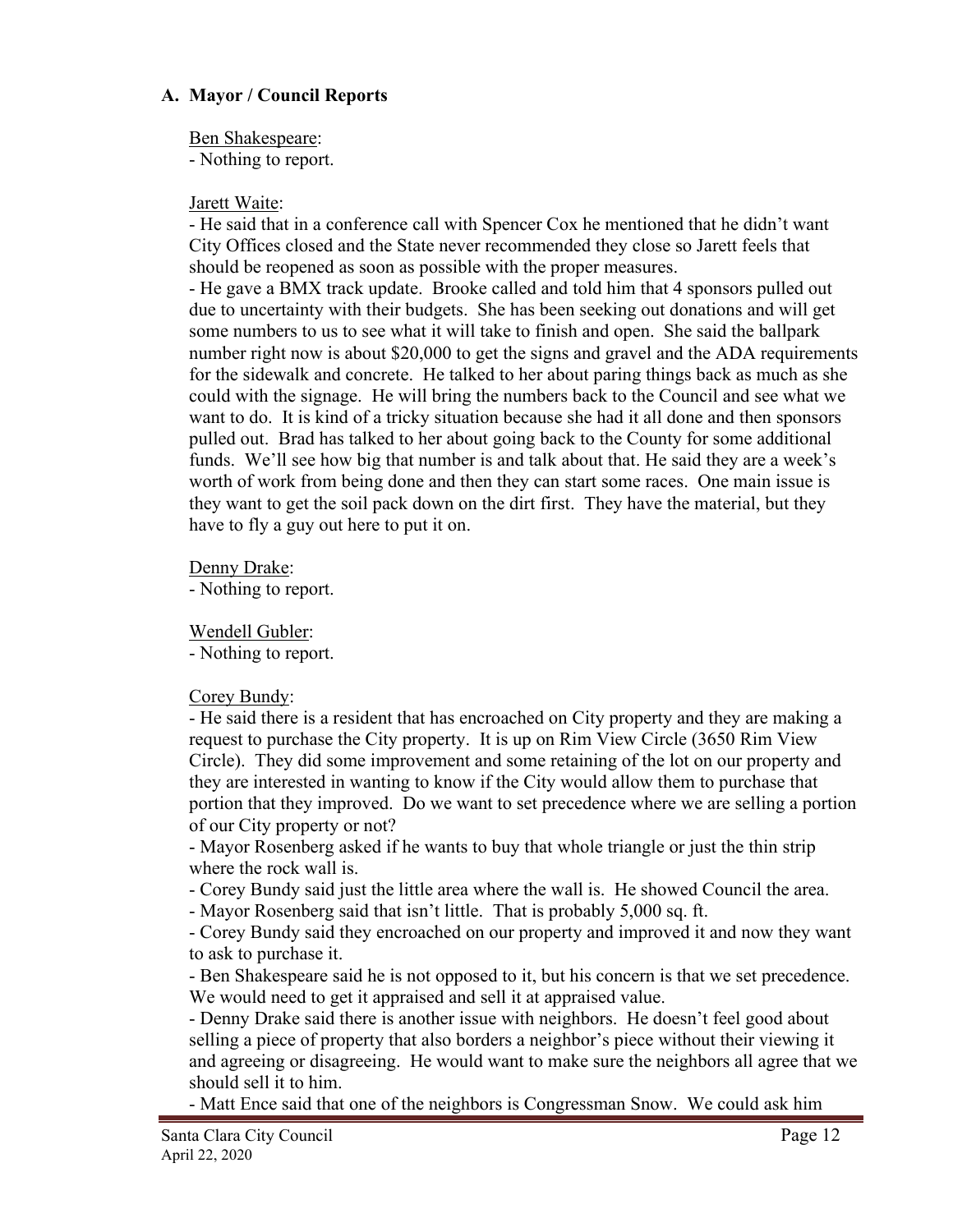## **A. Mayor / Council Reports**

Ben Shakespeare:

- Nothing to report.

### Jarett Waite:

- He said that in a conference call with Spencer Cox he mentioned that he didn't want City Offices closed and the State never recommended they close so Jarett feels that should be reopened as soon as possible with the proper measures.

- He gave a BMX track update. Brooke called and told him that 4 sponsors pulled out due to uncertainty with their budgets. She has been seeking out donations and will get some numbers to us to see what it will take to finish and open. She said the ballpark number right now is about \$20,000 to get the signs and gravel and the ADA requirements for the sidewalk and concrete. He talked to her about paring things back as much as she could with the signage. He will bring the numbers back to the Council and see what we want to do. It is kind of a tricky situation because she had it all done and then sponsors pulled out. Brad has talked to her about going back to the County for some additional funds. We'll see how big that number is and talk about that. He said they are a week's worth of work from being done and then they can start some races. One main issue is they want to get the soil pack down on the dirt first. They have the material, but they have to fly a guy out here to put it on.

Denny Drake:

- Nothing to report.

Wendell Gubler:

- Nothing to report.

### Corey Bundy:

- He said there is a resident that has encroached on City property and they are making a request to purchase the City property. It is up on Rim View Circle (3650 Rim View Circle). They did some improvement and some retaining of the lot on our property and they are interested in wanting to know if the City would allow them to purchase that portion that they improved. Do we want to set precedence where we are selling a portion of our City property or not?

- Mayor Rosenberg asked if he wants to buy that whole triangle or just the thin strip where the rock wall is.

- Corey Bundy said just the little area where the wall is. He showed Council the area.

- Mayor Rosenberg said that isn't little. That is probably 5,000 sq. ft.

- Corey Bundy said they encroached on our property and improved it and now they want to ask to purchase it.

- Ben Shakespeare said he is not opposed to it, but his concern is that we set precedence. We would need to get it appraised and sell it at appraised value.

- Denny Drake said there is another issue with neighbors. He doesn't feel good about selling a piece of property that also borders a neighbor's piece without their viewing it and agreeing or disagreeing. He would want to make sure the neighbors all agree that we should sell it to him.

- Matt Ence said that one of the neighbors is Congressman Snow. We could ask him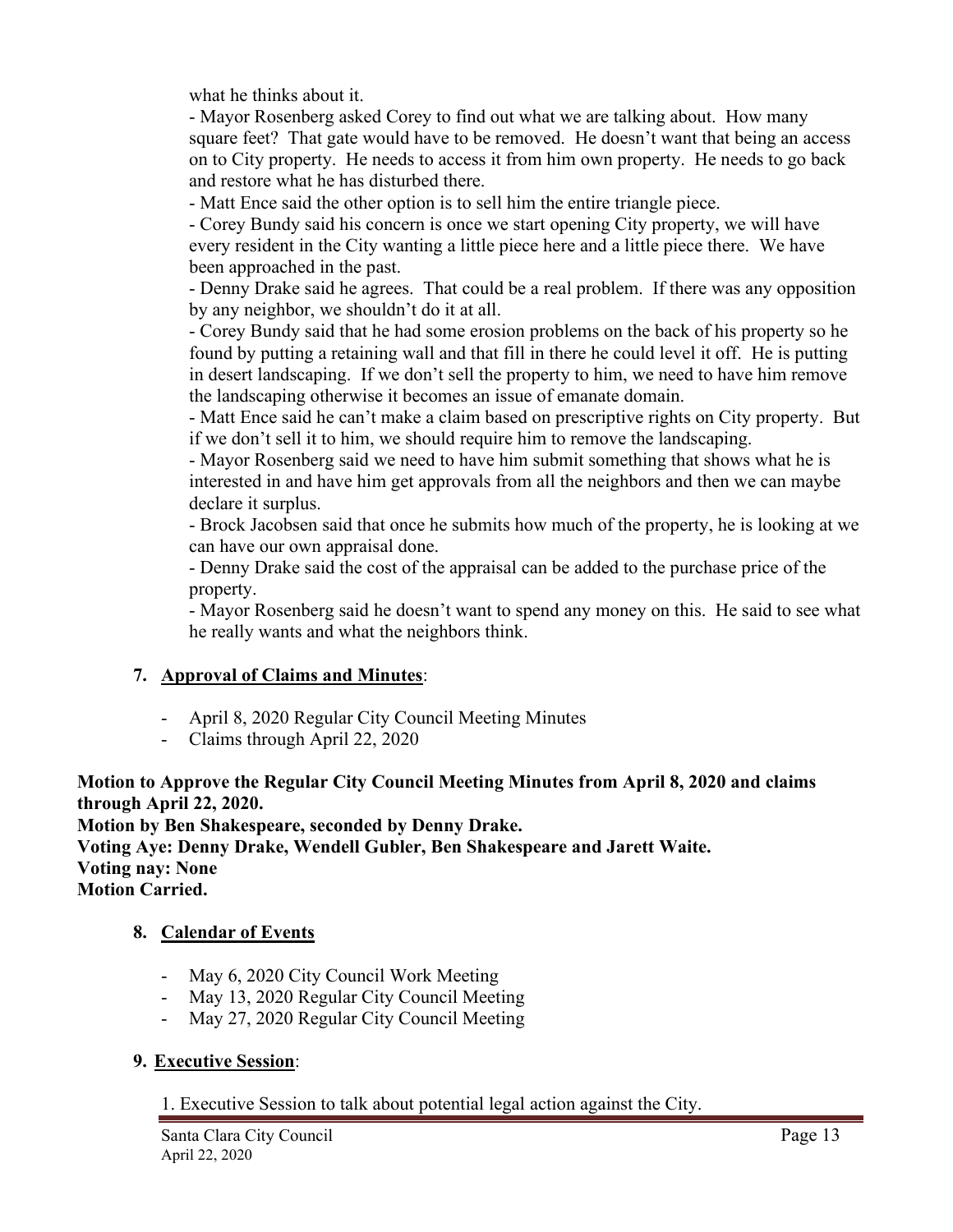what he thinks about it.

- Mayor Rosenberg asked Corey to find out what we are talking about. How many square feet? That gate would have to be removed. He doesn't want that being an access on to City property. He needs to access it from him own property. He needs to go back and restore what he has disturbed there.

- Matt Ence said the other option is to sell him the entire triangle piece.

- Corey Bundy said his concern is once we start opening City property, we will have every resident in the City wanting a little piece here and a little piece there. We have been approached in the past.

- Denny Drake said he agrees. That could be a real problem. If there was any opposition by any neighbor, we shouldn't do it at all.

- Corey Bundy said that he had some erosion problems on the back of his property so he found by putting a retaining wall and that fill in there he could level it off. He is putting in desert landscaping. If we don't sell the property to him, we need to have him remove the landscaping otherwise it becomes an issue of emanate domain.

- Matt Ence said he can't make a claim based on prescriptive rights on City property. But if we don't sell it to him, we should require him to remove the landscaping.

- Mayor Rosenberg said we need to have him submit something that shows what he is interested in and have him get approvals from all the neighbors and then we can maybe declare it surplus.

- Brock Jacobsen said that once he submits how much of the property, he is looking at we can have our own appraisal done.

- Denny Drake said the cost of the appraisal can be added to the purchase price of the property.

- Mayor Rosenberg said he doesn't want to spend any money on this. He said to see what he really wants and what the neighbors think.

# **7. Approval of Claims and Minutes**:

- April 8, 2020 Regular City Council Meeting Minutes
- Claims through April 22, 2020

# **Motion to Approve the Regular City Council Meeting Minutes from April 8, 2020 and claims through April 22, 2020.**

**Motion by Ben Shakespeare, seconded by Denny Drake. Voting Aye: Denny Drake, Wendell Gubler, Ben Shakespeare and Jarett Waite. Voting nay: None Motion Carried.**

# **8. Calendar of Events**

- May 6, 2020 City Council Work Meeting
- May 13, 2020 Regular City Council Meeting
- May 27, 2020 Regular City Council Meeting

### **9. Executive Session**:

1. Executive Session to talk about potential legal action against the City.